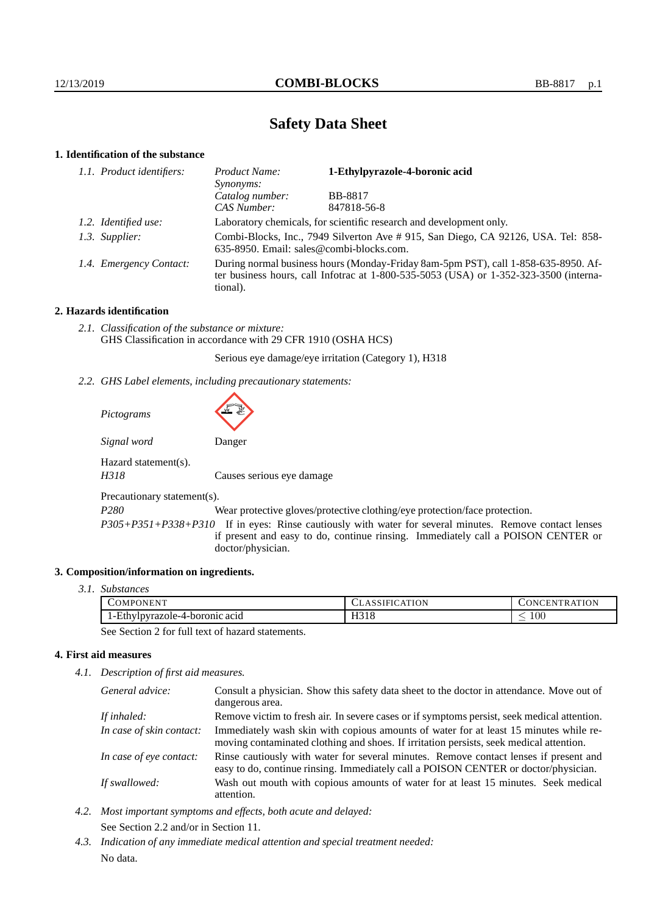# **Safety Data Sheet**

# **1. Identification of the substance**

| 1.1. Product identifiers: | Product Name:<br>Synonyms:                                                                                                                                                                  | 1-Ethylpyrazole-4-boronic acid |
|---------------------------|---------------------------------------------------------------------------------------------------------------------------------------------------------------------------------------------|--------------------------------|
|                           | Catalog number:                                                                                                                                                                             | <b>BB-8817</b>                 |
|                           | <b>CAS Number:</b>                                                                                                                                                                          | 847818-56-8                    |
| 1.2. Identified use:      | Laboratory chemicals, for scientific research and development only.                                                                                                                         |                                |
| 1.3. Supplier:            | Combi-Blocks, Inc., 7949 Silverton Ave # 915, San Diego, CA 92126, USA. Tel: 858-<br>635-8950. Email: sales@combi-blocks.com.                                                               |                                |
| 1.4. Emergency Contact:   | During normal business hours (Monday-Friday 8am-5pm PST), call 1-858-635-8950. Af-<br>ter business hours, call Infotrac at $1-800-535-5053$ (USA) or $1-352-323-3500$ (interna-<br>tional). |                                |

# **2. Hazards identification**

*2.1. Classification of the substance or mixture:* GHS Classification in accordance with 29 CFR 1910 (OSHA HCS)

Serious eye damage/eye irritation (Category 1), H318

*2.2. GHS Label elements, including precautionary statements:*

| Pictograms                   |                           |
|------------------------------|---------------------------|
| Signal word                  | Danger                    |
| Hazard statement(s).<br>H318 | Causes serious eye damage |
| Precautionary statement(s).  |                           |
| <b>DAOO</b>                  |                           |

*P280* Wear protective gloves/protective clothing/eye protection/face protection.

*P305+P351+P338+P310* If in eyes: Rinse cautiously with water for several minutes. Remove contact lenses if present and easy to do, continue rinsing. Immediately call a POISON CENTER or doctor/physician.

#### **3. Composition/information on ingredients.**

*3.1. Substances*

| NТ<br>PONEN'<br>∠OMF<br>.,, | <b>TION</b><br>$\sim$<br><b>ULADJII</b> | ATION<br>IN<br>-.EN:<br>КA |
|-----------------------------|-----------------------------------------|----------------------------|
| "cthy                       | 1701C                                   | 100                        |
| /lpyrazole-4-boronic acid   | <b>1</b> .10                            | $\overline{\phantom{a}}$   |

See Section 2 for full text of hazard statements.

#### **4. First aid measures**

*4.1. Description of first aid measures.*

| General advice:          | Consult a physician. Show this safety data sheet to the doctor in attendance. Move out of<br>dangerous area.                                                                     |
|--------------------------|----------------------------------------------------------------------------------------------------------------------------------------------------------------------------------|
| If inhaled:              | Remove victim to fresh air. In severe cases or if symptoms persist, seek medical attention.                                                                                      |
| In case of skin contact: | Immediately wash skin with copious amounts of water for at least 15 minutes while re-<br>moving contaminated clothing and shoes. If irritation persists, seek medical attention. |
| In case of eye contact:  | Rinse cautiously with water for several minutes. Remove contact lenses if present and<br>easy to do, continue rinsing. Immediately call a POISON CENTER or doctor/physician.     |
| If swallowed:            | Wash out mouth with copious amounts of water for at least 15 minutes. Seek medical<br>attention.                                                                                 |

- *4.2. Most important symptoms and effects, both acute and delayed:* See Section 2.2 and/or in Section 11.
- *4.3. Indication of any immediate medical attention and special treatment needed:* No data.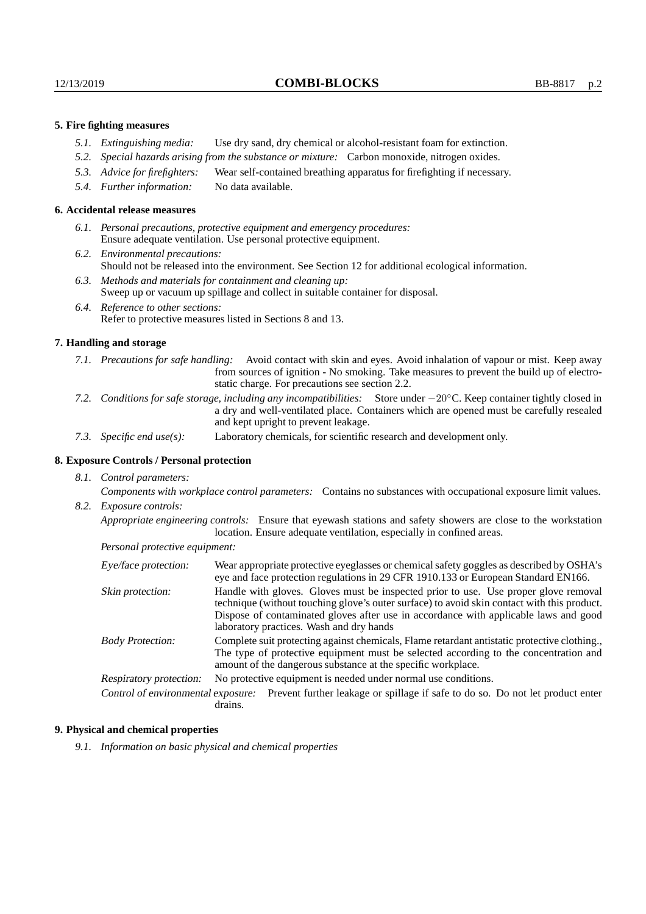# **5. Fire fighting measures**

- *5.1. Extinguishing media:* Use dry sand, dry chemical or alcohol-resistant foam for extinction.
- *5.2. Special hazards arising from the substance or mixture:* Carbon monoxide, nitrogen oxides.
- *5.3. Advice for firefighters:* Wear self-contained breathing apparatus for firefighting if necessary.
- *5.4. Further information:* No data available.

#### **6. Accidental release measures**

- *6.1. Personal precautions, protective equipment and emergency procedures:* Ensure adequate ventilation. Use personal protective equipment.
- *6.2. Environmental precautions:* Should not be released into the environment. See Section 12 for additional ecological information.
- *6.3. Methods and materials for containment and cleaning up:* Sweep up or vacuum up spillage and collect in suitable container for disposal.
- *6.4. Reference to other sections:* Refer to protective measures listed in Sections 8 and 13.

#### **7. Handling and storage**

- *7.1. Precautions for safe handling:* Avoid contact with skin and eyes. Avoid inhalation of vapour or mist. Keep away from sources of ignition - No smoking. Take measures to prevent the build up of electrostatic charge. For precautions see section 2.2.
- *7.2. Conditions for safe storage, including any incompatibilities:* Store under −20◦C. Keep container tightly closed in a dry and well-ventilated place. Containers which are opened must be carefully resealed and kept upright to prevent leakage.
- *7.3. Specific end use(s):* Laboratory chemicals, for scientific research and development only.

# **8. Exposure Controls / Personal protection**

*8.1. Control parameters:*

*Components with workplace control parameters:* Contains no substances with occupational exposure limit values. *8.2. Exposure controls:*

*Appropriate engineering controls:* Ensure that eyewash stations and safety showers are close to the workstation location. Ensure adequate ventilation, especially in confined areas.

*Personal protective equipment:*

| Eye/face protection:    | Wear appropriate protective eyeglasses or chemical safety goggles as described by OSHA's<br>eye and face protection regulations in 29 CFR 1910.133 or European Standard EN166.                                                                                                                                         |  |
|-------------------------|------------------------------------------------------------------------------------------------------------------------------------------------------------------------------------------------------------------------------------------------------------------------------------------------------------------------|--|
| Skin protection:        | Handle with gloves. Gloves must be inspected prior to use. Use proper glove removal<br>technique (without touching glove's outer surface) to avoid skin contact with this product.<br>Dispose of contaminated gloves after use in accordance with applicable laws and good<br>laboratory practices. Wash and dry hands |  |
| <b>Body Protection:</b> | Complete suit protecting against chemicals, Flame retardant antistatic protective clothing.<br>The type of protective equipment must be selected according to the concentration and<br>amount of the dangerous substance at the specific workplace.                                                                    |  |
| Respiratory protection: | No protective equipment is needed under normal use conditions.                                                                                                                                                                                                                                                         |  |
|                         | Control of environmental exposure: Prevent further leakage or spillage if safe to do so. Do not let product enter<br>drains.                                                                                                                                                                                           |  |

#### **9. Physical and chemical properties**

*9.1. Information on basic physical and chemical properties*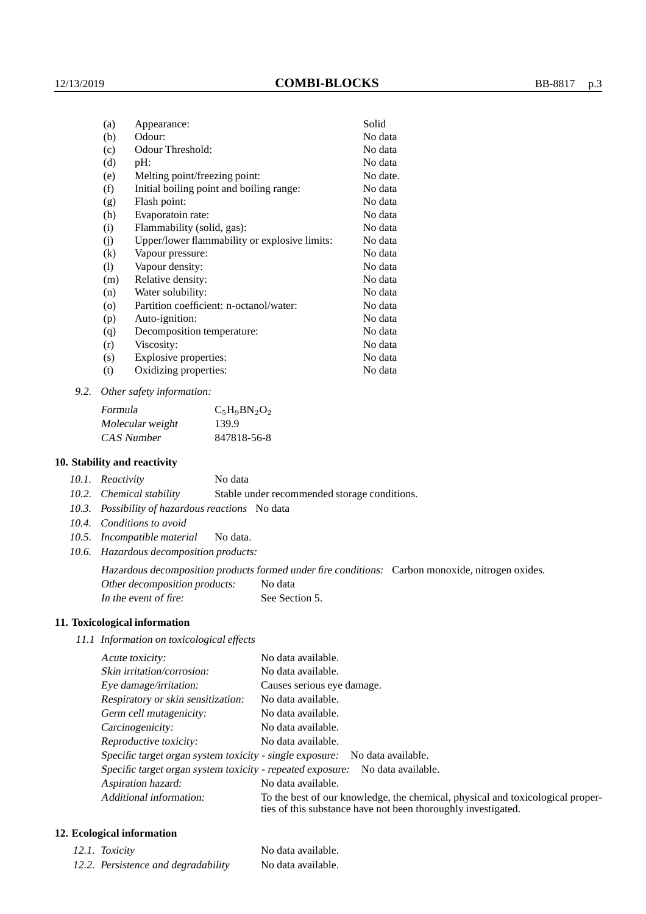| (a)               | Appearance:                                   | Solid    |
|-------------------|-----------------------------------------------|----------|
| (b)               | Odour:                                        | No data  |
| (c)               | Odour Threshold:                              | No data  |
| (d)               | pH:                                           | No data  |
| (e)               | Melting point/freezing point:                 | No date. |
| (f)               | Initial boiling point and boiling range:      | No data  |
| (g)               | Flash point:                                  | No data  |
| (h)               | Evaporatoin rate:                             | No data  |
| (i)               | Flammability (solid, gas):                    | No data  |
| (j)               | Upper/lower flammability or explosive limits: | No data  |
| $\left( k\right)$ | Vapour pressure:                              | No data  |
| (1)               | Vapour density:                               | No data  |
| (m)               | Relative density:                             | No data  |
| (n)               | Water solubility:                             | No data  |
| $\circ$           | Partition coefficient: n-octanol/water:       | No data  |
| (p)               | Auto-ignition:                                | No data  |
| (q)               | Decomposition temperature:                    | No data  |
| (r)               | Viscosity:                                    | No data  |
| (s)               | Explosive properties:                         | No data  |
| (t)               | Oxidizing properties:                         | No data  |

*9.2. Other safety information:*

| Formula          | $C_5H_9BN_2O_2$ |
|------------------|-----------------|
| Molecular weight | 139.9           |
| CAS Number       | 847818-56-8     |

### **10. Stability and reactivity**

| 10.1. Reactivity | No data |
|------------------|---------|
|                  |         |

*10.2. Chemical stability* Stable under recommended storage conditions.

- *10.3. Possibility of hazardous reactions* No data
- *10.4. Conditions to avoid*
- *10.5. Incompatible material* No data.
- *10.6. Hazardous decomposition products:*

Hazardous decomposition products formed under fire conditions: Carbon monoxide, nitrogen oxides. Other decomposition products: No data

In the event of fire: See Section 5.

# **11. Toxicological information**

*11.1 Information on toxicological effects*

| Acute toxicity:                                                                                                                                                            | No data available.         |  |  |
|----------------------------------------------------------------------------------------------------------------------------------------------------------------------------|----------------------------|--|--|
| Skin irritation/corrosion:                                                                                                                                                 | No data available.         |  |  |
| Eye damage/irritation:                                                                                                                                                     | Causes serious eye damage. |  |  |
| Respiratory or skin sensitization:                                                                                                                                         | No data available.         |  |  |
| Germ cell mutagenicity:                                                                                                                                                    | No data available.         |  |  |
| Carcinogenicity:                                                                                                                                                           | No data available.         |  |  |
| Reproductive toxicity:                                                                                                                                                     | No data available.         |  |  |
| Specific target organ system toxicity - single exposure: No data available.                                                                                                |                            |  |  |
| Specific target organ system toxicity - repeated exposure:<br>No data available.                                                                                           |                            |  |  |
| Aspiration hazard:                                                                                                                                                         | No data available.         |  |  |
| Additional information:<br>To the best of our knowledge, the chemical, physical and toxicological proper-<br>ties of this substance have not been thoroughly investigated. |                            |  |  |

# **12. Ecological information**

| 12.1. Toxicity                      | No data available. |
|-------------------------------------|--------------------|
| 12.2. Persistence and degradability | No data available. |